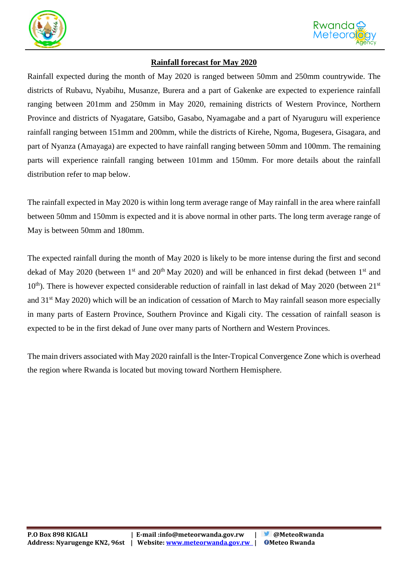



## **Rainfall forecast for May 2020**

Rainfall expected during the month of May 2020 is ranged between 50mm and 250mm countrywide. The districts of Rubavu, Nyabihu, Musanze, Burera and a part of Gakenke are expected to experience rainfall ranging between 201mm and 250mm in May 2020, remaining districts of Western Province, Northern Province and districts of Nyagatare, Gatsibo, Gasabo, Nyamagabe and a part of Nyaruguru will experience rainfall ranging between 151mm and 200mm, while the districts of Kirehe, Ngoma, Bugesera, Gisagara, and part of Nyanza (Amayaga) are expected to have rainfall ranging between 50mm and 100mm. The remaining parts will experience rainfall ranging between 101mm and 150mm. For more details about the rainfall distribution refer to map below.

The rainfall expected in May 2020 is within long term average range of May rainfall in the area where rainfall between 50mm and 150mm is expected and it is above normal in other parts. The long term average range of May is between 50mm and 180mm.

The expected rainfall during the month of May 2020 is likely to be more intense during the first and second dekad of May 2020 (between  $1<sup>st</sup>$  and  $20<sup>th</sup>$  May 2020) and will be enhanced in first dekad (between  $1<sup>st</sup>$  and  $10<sup>th</sup>$ ). There is however expected considerable reduction of rainfall in last dekad of May 2020 (between  $21<sup>st</sup>$ and 31st May 2020) which will be an indication of cessation of March to May rainfall season more especially in many parts of Eastern Province, Southern Province and Kigali city. The cessation of rainfall season is expected to be in the first dekad of June over many parts of Northern and Western Provinces.

The main drivers associated with May 2020 rainfall is the Inter-Tropical Convergence Zone which is overhead the region where Rwanda is located but moving toward Northern Hemisphere.